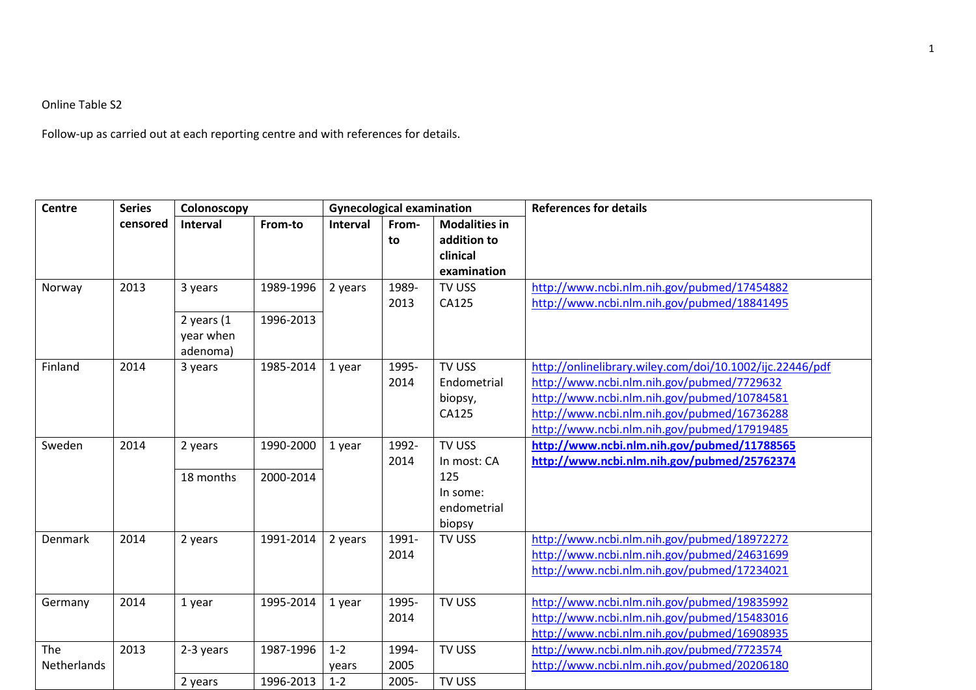## Online Table S2

Follow-up as carried out at each reporting centre and with references for details.

| <b>Centre</b>      | <b>Series</b><br>censored | Colonoscopy                           |                        | <b>Gynecological examination</b> |                        |                                                                   | <b>References for details</b>                                                                                                                                                                                                                       |
|--------------------|---------------------------|---------------------------------------|------------------------|----------------------------------|------------------------|-------------------------------------------------------------------|-----------------------------------------------------------------------------------------------------------------------------------------------------------------------------------------------------------------------------------------------------|
|                    |                           | Interval                              | From-to                | Interval                         | From-<br>to            | <b>Modalities in</b><br>addition to<br>clinical<br>examination    |                                                                                                                                                                                                                                                     |
| Norway             | 2013                      | 3 years<br>2 years $(1)$<br>year when | 1989-1996<br>1996-2013 | 2 years                          | 1989-<br>2013          | <b>TV USS</b><br>CA125                                            | http://www.ncbi.nlm.nih.gov/pubmed/17454882<br>http://www.ncbi.nlm.nih.gov/pubmed/18841495                                                                                                                                                          |
| Finland            | 2014                      | adenoma)<br>3 years                   | 1985-2014              | 1 year                           | 1995-<br>2014          | TV USS<br>Endometrial<br>biopsy,<br>CA125                         | http://onlinelibrary.wiley.com/doi/10.1002/ijc.22446/pdf<br>http://www.ncbi.nlm.nih.gov/pubmed/7729632<br>http://www.ncbi.nlm.nih.gov/pubmed/10784581<br>http://www.ncbi.nlm.nih.gov/pubmed/16736288<br>http://www.ncbi.nlm.nih.gov/pubmed/17919485 |
| Sweden             | 2014                      | 2 years<br>18 months                  | 1990-2000<br>2000-2014 | 1 year                           | 1992-<br>2014          | TV USS<br>In most: CA<br>125<br>In some:<br>endometrial<br>biopsy | http://www.ncbi.nlm.nih.gov/pubmed/11788565<br>http://www.ncbi.nlm.nih.gov/pubmed/25762374                                                                                                                                                          |
| <b>Denmark</b>     | 2014                      | 2 years                               | 1991-2014              | 2 years                          | 1991-<br>2014          | TV USS                                                            | http://www.ncbi.nlm.nih.gov/pubmed/18972272<br>http://www.ncbi.nlm.nih.gov/pubmed/24631699<br>http://www.ncbi.nlm.nih.gov/pubmed/17234021                                                                                                           |
| Germany            | 2014                      | 1 year                                | 1995-2014              | 1 year                           | 1995-<br>2014          | TV USS                                                            | http://www.ncbi.nlm.nih.gov/pubmed/19835992<br>http://www.ncbi.nlm.nih.gov/pubmed/15483016<br>http://www.ncbi.nlm.nih.gov/pubmed/16908935                                                                                                           |
| The<br>Netherlands | 2013                      | 2-3 years<br>2 years                  | 1987-1996<br>1996-2013 | $1 - 2$<br>years<br>$1 - 2$      | 1994-<br>2005<br>2005- | TV USS<br>TV USS                                                  | http://www.ncbi.nlm.nih.gov/pubmed/7723574<br>http://www.ncbi.nlm.nih.gov/pubmed/20206180                                                                                                                                                           |